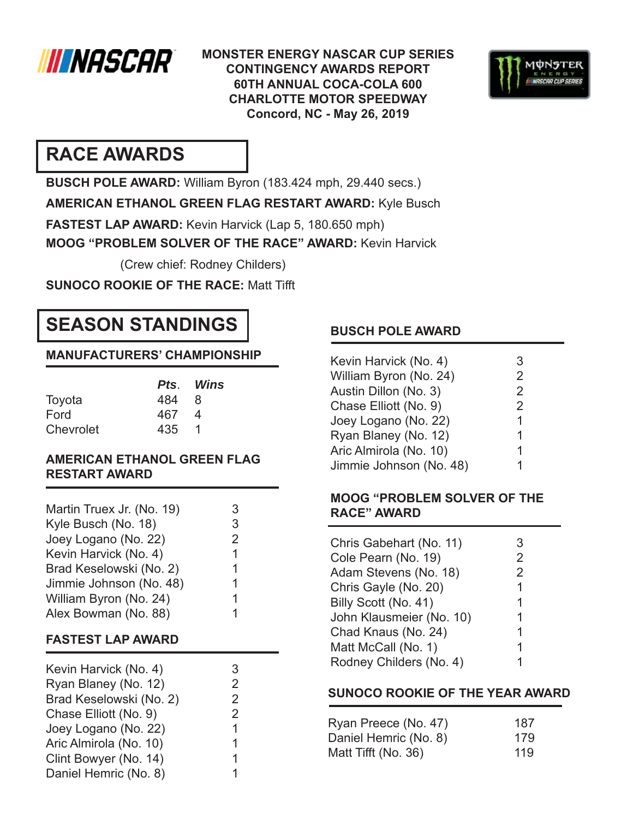

**MONSTER ENERGY NASCAR CUP SERIES CONTINGENCY AWARDS REPORT 60TH ANNUAL COCA-COLA 600 CHARLOTTE MOTOR SPEEDWAY Concord, NC - May 26, 2019**



## **RACE AWARDS**

**BUSCH POLE AWARD:** William Byron (183.424 mph, 29.440 secs.)

**AMERICAN ETHANOL GREEN FLAG RESTART AWARD:** Kyle Busch

**FASTEST LAP AWARD:** Kevin Harvick (Lap 5, 180.650 mph)

**MOOG "PROBLEM SOLVER OF THE RACE" AWARD:** Kevin Harvick

(Crew chief: Rodney Childers)

**SUNOCO ROOKIE OF THE RACE: Matt Tifft** 

# **SEASON STANDINGS**

## **MANUFACTURERS' CHAMPIONSHIP**

|           |       | Pts. Wins |
|-----------|-------|-----------|
| Toyota    | 484 8 |           |
| Ford      | 467   | - 4       |
| Chevrolet | 435 1 |           |

### **AMERICAN ETHANOL GREEN FLAG RESTART AWARD**

| Martin Truex Jr. (No. 19) | 3 |
|---------------------------|---|
| Kyle Busch (No. 18)       | 3 |
| Joey Logano (No. 22)      | 2 |
| Kevin Harvick (No. 4)     | 1 |
| Brad Keselowski (No. 2)   | 1 |
| Jimmie Johnson (No. 48)   | 1 |
| William Byron (No. 24)    | 1 |
| Alex Bowman (No. 88)      | 1 |

### **FASTEST LAP AWARD**

| Kevin Harvick (No. 4)   | 3 |
|-------------------------|---|
| Ryan Blaney (No. 12)    | 2 |
| Brad Keselowski (No. 2) | 2 |
| Chase Elliott (No. 9)   | 2 |
| Joey Logano (No. 22)    | 1 |
| Aric Almirola (No. 10)  | 1 |
| Clint Bowyer (No. 14)   | 1 |
| Daniel Hemric (No. 8)   | 1 |

## **BUSCH POLE AWARD**

| Kevin Harvick (No. 4)   | 3 |
|-------------------------|---|
| William Byron (No. 24)  | 2 |
| Austin Dillon (No. 3)   | 2 |
| Chase Elliott (No. 9)   | 2 |
| Joey Logano (No. 22)    | 1 |
| Ryan Blaney (No. 12)    | 1 |
| Aric Almirola (No. 10)  | 1 |
| Jimmie Johnson (No. 48) |   |

### **MOOG "PROBLEM SOLVER OF THE RACE" AWARD**

| Chris Gabehart (No. 11)  | 3              |
|--------------------------|----------------|
| Cole Pearn (No. 19)      | $\overline{2}$ |
| Adam Stevens (No. 18)    | 2              |
| Chris Gayle (No. 20)     | 1              |
| Billy Scott (No. 41)     | 1              |
| John Klausmeier (No. 10) | 1              |
| Chad Knaus (No. 24)      | 1              |
| Matt McCall (No. 1)      | 1              |
| Rodney Childers (No. 4)  | 1              |

### **SUNOCO ROOKIE OF THE YEAR AWARD**

| Ryan Preece (No. 47)  | 187 |
|-----------------------|-----|
| Daniel Hemric (No. 8) | 179 |
| Matt Tifft (No. 36)   | 119 |